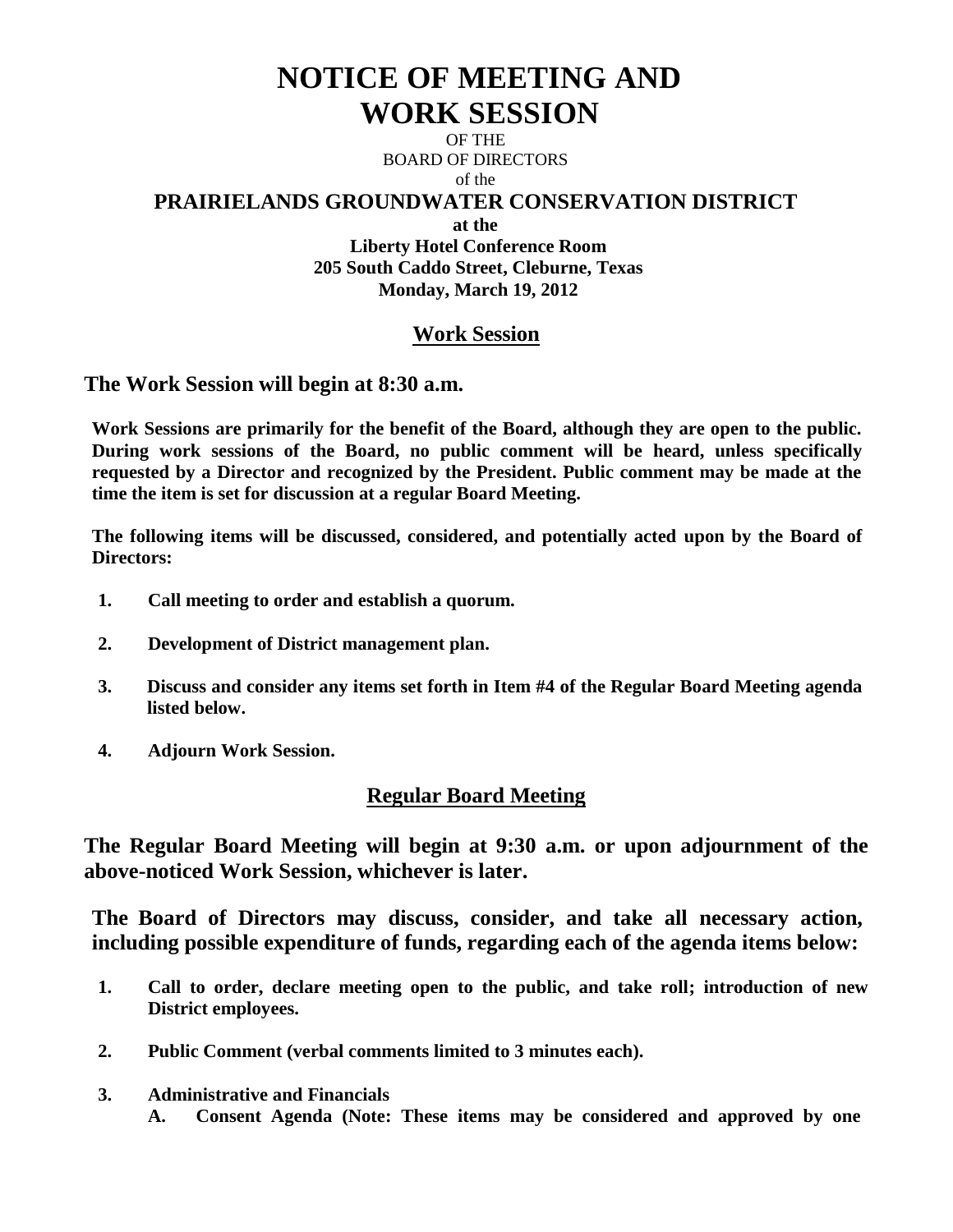# **NOTICE OF MEETING AND WORK SESSION**

OF THE BOARD OF DIRECTORS of the

#### **PRAIRIELANDS GROUNDWATER CONSERVATION DISTRICT**

**at the**

**Liberty Hotel Conference Room 205 South Caddo Street, Cleburne, Texas Monday, March 19, 2012**

## **Work Session**

**The Work Session will begin at 8:30 a.m.**

**Work Sessions are primarily for the benefit of the Board, although they are open to the public. During work sessions of the Board, no public comment will be heard, unless specifically requested by a Director and recognized by the President. Public comment may be made at the time the item is set for discussion at a regular Board Meeting.**

**The following items will be discussed, considered, and potentially acted upon by the Board of Directors:** 

- **1. Call meeting to order and establish a quorum.**
- **2. Development of District management plan.**
- **3. Discuss and consider any items set forth in Item #4 of the Regular Board Meeting agenda listed below.**
- **4. Adjourn Work Session.**

### **Regular Board Meeting**

**The Regular Board Meeting will begin at 9:30 a.m. or upon adjournment of the above-noticed Work Session, whichever is later.**

**The Board of Directors may discuss, consider, and take all necessary action, including possible expenditure of funds, regarding each of the agenda items below:**

- **1. Call to order, declare meeting open to the public, and take roll; introduction of new District employees.**
- **2. Public Comment (verbal comments limited to 3 minutes each).**
- **3. Administrative and Financials**
	- **A. Consent Agenda (Note: These items may be considered and approved by one**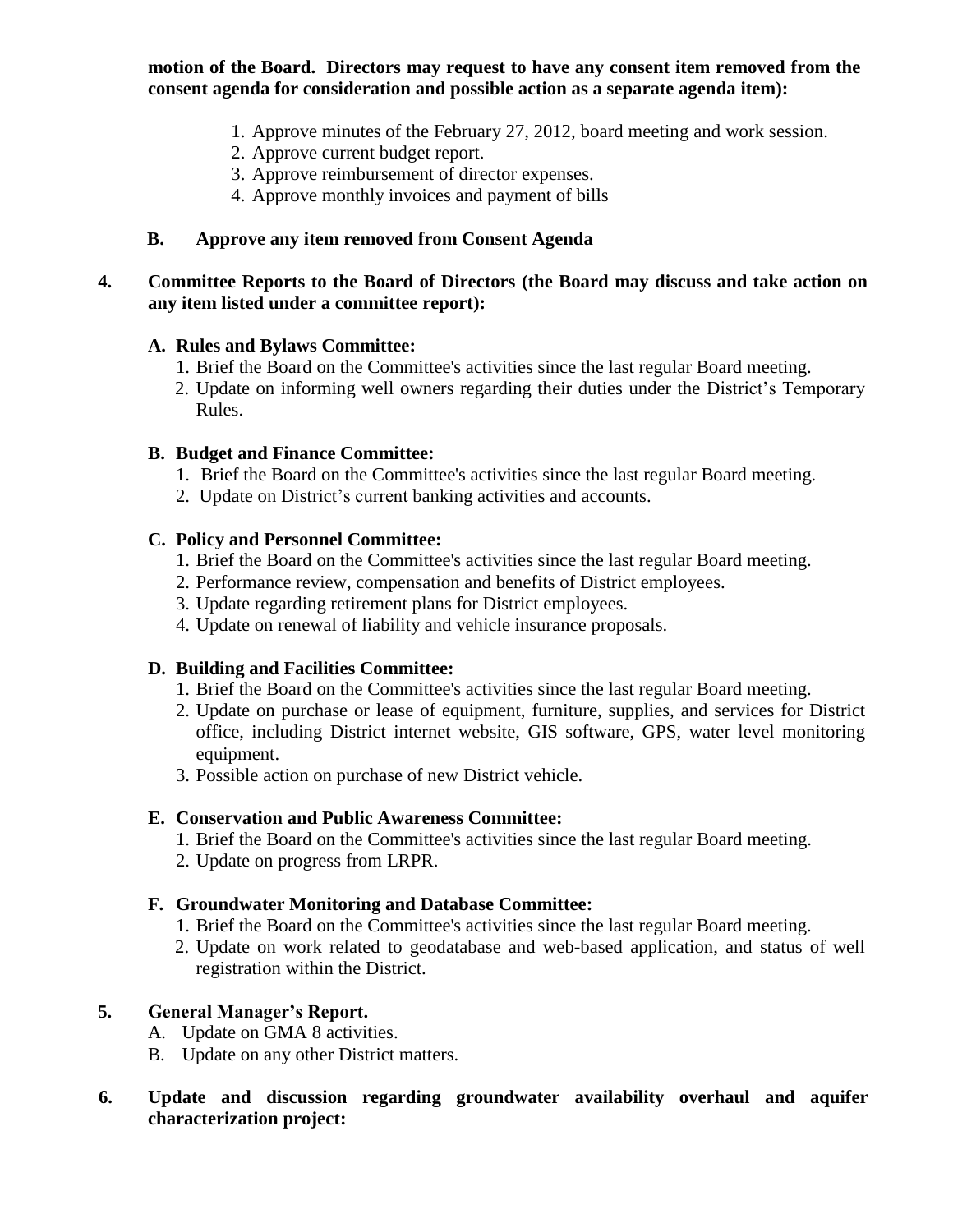**motion of the Board. Directors may request to have any consent item removed from the consent agenda for consideration and possible action as a separate agenda item):**

- 1. Approve minutes of the February 27, 2012, board meeting and work session.
- 2. Approve current budget report.
- 3. Approve reimbursement of director expenses.
- 4. Approve monthly invoices and payment of bills

#### **B. Approve any item removed from Consent Agenda**

#### **4. Committee Reports to the Board of Directors (the Board may discuss and take action on any item listed under a committee report):**

#### **A. Rules and Bylaws Committee:**

- 1. Brief the Board on the Committee's activities since the last regular Board meeting.
- 2. Update on informing well owners regarding their duties under the District's Temporary Rules.

#### **B. Budget and Finance Committee:**

- 1. Brief the Board on the Committee's activities since the last regular Board meeting.
- 2. Update on District's current banking activities and accounts.

#### **C. Policy and Personnel Committee:**

- 1. Brief the Board on the Committee's activities since the last regular Board meeting.
- 2. Performance review, compensation and benefits of District employees.
- 3. Update regarding retirement plans for District employees.
- 4. Update on renewal of liability and vehicle insurance proposals.

#### **D. Building and Facilities Committee:**

- 1. Brief the Board on the Committee's activities since the last regular Board meeting.
- 2. Update on purchase or lease of equipment, furniture, supplies, and services for District office, including District internet website, GIS software, GPS, water level monitoring equipment.
- 3. Possible action on purchase of new District vehicle.

#### **E. Conservation and Public Awareness Committee:**

- 1. Brief the Board on the Committee's activities since the last regular Board meeting.
- 2. Update on progress from LRPR.

### **F. Groundwater Monitoring and Database Committee:**

- 1. Brief the Board on the Committee's activities since the last regular Board meeting.
- 2. Update on work related to geodatabase and web-based application, and status of well registration within the District.

### **5. General Manager's Report.**

- A. Update on GMA 8 activities.
- B. Update on any other District matters.

#### **6. Update and discussion regarding groundwater availability overhaul and aquifer characterization project:**